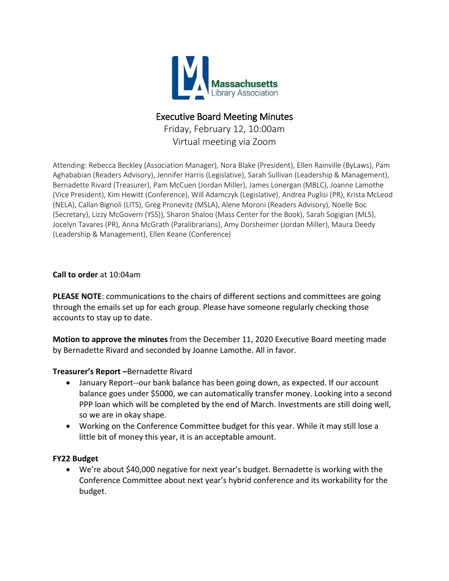

# Executive Board Meeting Minutes

Friday, February 12, 10:00am Virtual meeting via Zoom

Attending: Rebecca Beckley (Association Manager), Nora Blake (President), Ellen Rainville (ByLaws), Pam Aghababian (Readers Advisory), Jennifer Harris (Legislative), Sarah Sullivan (Leadership & Management), Bernadette Rivard (Treasurer), Pam McCuen (Jordan Miller), James Lonergan (MBLC), Joanne Lamothe (Vice President), Kim Hewitt (Conference), Will Adamczyk (Legislative), Andrea Puglisi (PR), Krista McLeod (NELA), Callan Bignoli (LITS), Greg Pronevitz (MSLA), Alene Moroni (Readers Advisory), Noelle Boc (Secretary), Lizzy McGovern (YSS)), Sharon Shaloo (Mass Center for the Book), Sarah Sogigian (MLS), Jocelyn Tavares (PR), Anna McGrath (Paralibrarians), Amy Dorsheimer (Jordan Miller), Maura Deedy (Leadership & Management), Ellen Keane (Conference)

# **Call to order** at 10:04am

**PLEASE NOTE**: communications to the chairs of different sections and committees are going through the emails set up for each group. Please have someone regularly checking those accounts to stay up to date.

**Motion to approve the minutes** from the December 11, 2020 Executive Board meeting made by Bernadette Rivard and seconded by Joanne Lamothe. All in favor.

### **Treasurer's Report –**Bernadette Rivard

- January Report--our bank balance has been going down, as expected. If our account balance goes under \$5000, we can automatically transfer money. Looking into a second PPP loan which will be completed by the end of March. Investments are still doing well, so we are in okay shape.
- Working on the Conference Committee budget for this year. While it may still lose a little bit of money this year, it is an acceptable amount.

### **FY22 Budget**

 We're about \$40,000 negative for next year's budget. Bernadette is working with the Conference Committee about next year's hybrid conference and its workability for the budget.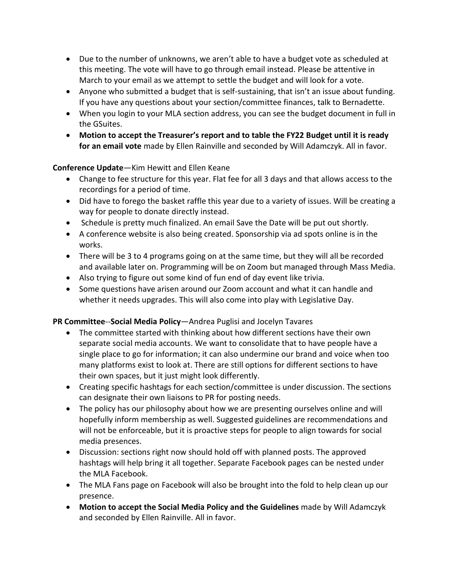- Due to the number of unknowns, we aren't able to have a budget vote as scheduled at this meeting. The vote will have to go through email instead. Please be attentive in March to your email as we attempt to settle the budget and will look for a vote.
- Anyone who submitted a budget that is self-sustaining, that isn't an issue about funding. If you have any questions about your section/committee finances, talk to Bernadette.
- When you login to your MLA section address, you can see the budget document in full in the GSuites.
- **Motion to accept the Treasurer's report and to table the FY22 Budget until it is ready for an email vote** made by Ellen Rainville and seconded by Will Adamczyk. All in favor.

# **Conference Update**—Kim Hewitt and Ellen Keane

- Change to fee structure for this year. Flat fee for all 3 days and that allows access to the recordings for a period of time.
- Did have to forego the basket raffle this year due to a variety of issues. Will be creating a way for people to donate directly instead.
- Schedule is pretty much finalized. An email Save the Date will be put out shortly.
- A conference website is also being created. Sponsorship via ad spots online is in the works.
- There will be 3 to 4 programs going on at the same time, but they will all be recorded and available later on. Programming will be on Zoom but managed through Mass Media.
- Also trying to figure out some kind of fun end of day event like trivia.
- Some questions have arisen around our Zoom account and what it can handle and whether it needs upgrades. This will also come into play with Legislative Day.

# **PR Committee**--**Social Media Policy**—Andrea Puglisi and Jocelyn Tavares

- The committee started with thinking about how different sections have their own separate social media accounts. We want to consolidate that to have people have a single place to go for information; it can also undermine our brand and voice when too many platforms exist to look at. There are still options for different sections to have their own spaces, but it just might look differently.
- Creating specific hashtags for each section/committee is under discussion. The sections can designate their own liaisons to PR for posting needs.
- The policy has our philosophy about how we are presenting ourselves online and will hopefully inform membership as well. Suggested guidelines are recommendations and will not be enforceable, but it is proactive steps for people to align towards for social media presences.
- Discussion: sections right now should hold off with planned posts. The approved hashtags will help bring it all together. Separate Facebook pages can be nested under the MLA Facebook.
- The MLA Fans page on Facebook will also be brought into the fold to help clean up our presence.
- **Motion to accept the Social Media Policy and the Guidelines** made by Will Adamczyk and seconded by Ellen Rainville. All in favor.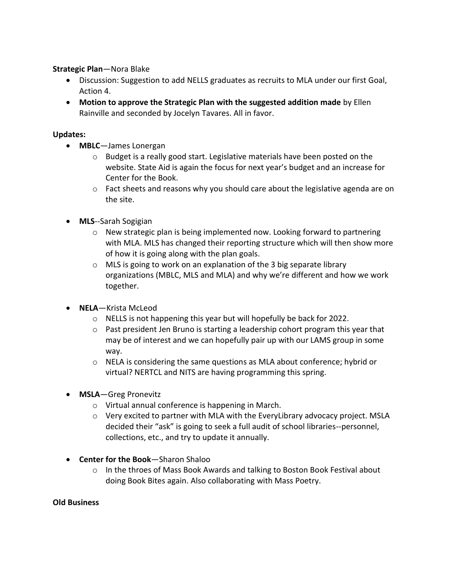# **Strategic Plan**—Nora Blake

- Discussion: Suggestion to add NELLS graduates as recruits to MLA under our first Goal, Action 4.
- **Motion to approve the Strategic Plan with the suggested addition made** by Ellen Rainville and seconded by Jocelyn Tavares. All in favor.

### **Updates:**

- **MBLC**—James Lonergan
	- o Budget is a really good start. Legislative materials have been posted on the website. State Aid is again the focus for next year's budget and an increase for Center for the Book.
	- $\circ$  Fact sheets and reasons why you should care about the legislative agenda are on the site.
- **MLS**--Sarah Sogigian
	- $\circ$  New strategic plan is being implemented now. Looking forward to partnering with MLA. MLS has changed their reporting structure which will then show more of how it is going along with the plan goals.
	- o MLS is going to work on an explanation of the 3 big separate library organizations (MBLC, MLS and MLA) and why we're different and how we work together.
- **NELA**—Krista McLeod
	- o NELLS is not happening this year but will hopefully be back for 2022.
	- $\circ$  Past president Jen Bruno is starting a leadership cohort program this year that may be of interest and we can hopefully pair up with our LAMS group in some way.
	- $\circ$  NELA is considering the same questions as MLA about conference; hybrid or virtual? NERTCL and NITS are having programming this spring.
- **MSLA**—Greg Pronevitz
	- o Virtual annual conference is happening in March.
	- $\circ$  Very excited to partner with MLA with the EveryLibrary advocacy project. MSLA decided their "ask" is going to seek a full audit of school libraries--personnel, collections, etc., and try to update it annually.
- **Center for the Book**—Sharon Shaloo
	- $\circ$  In the throes of Mass Book Awards and talking to Boston Book Festival about doing Book Bites again. Also collaborating with Mass Poetry.

### **Old Business**